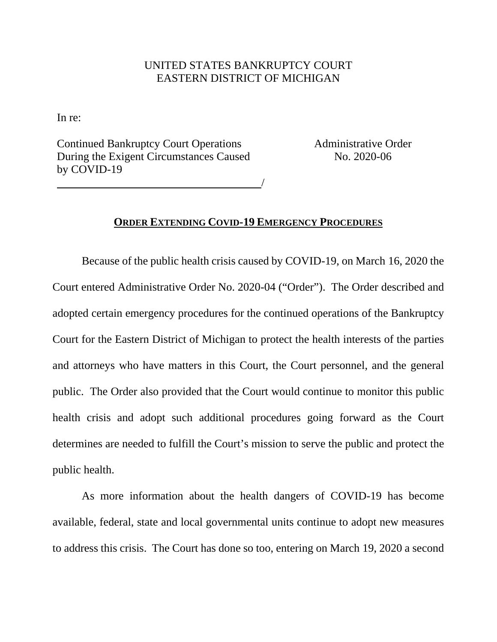## UNITED STATES BANKRUPTCY COURT EASTERN DISTRICT OF MICHIGAN

In re:

Continued Bankruptcy Court Operations During the Exigent Circumstances Caused by COVID-19

/

Administrative Order No. 2020-06

## **ORDER EXTENDING COVID-19 EMERGENCY PROCEDURES**

 Because of the public health crisis caused by COVID-19, on March 16, 2020 the Court entered Administrative Order No. 2020-04 ("Order"). The Order described and adopted certain emergency procedures for the continued operations of the Bankruptcy Court for the Eastern District of Michigan to protect the health interests of the parties and attorneys who have matters in this Court, the Court personnel, and the general public. The Order also provided that the Court would continue to monitor this public health crisis and adopt such additional procedures going forward as the Court determines are needed to fulfill the Court's mission to serve the public and protect the public health.

 As more information about the health dangers of COVID-19 has become available, federal, state and local governmental units continue to adopt new measures to address this crisis. The Court has done so too, entering on March 19, 2020 a second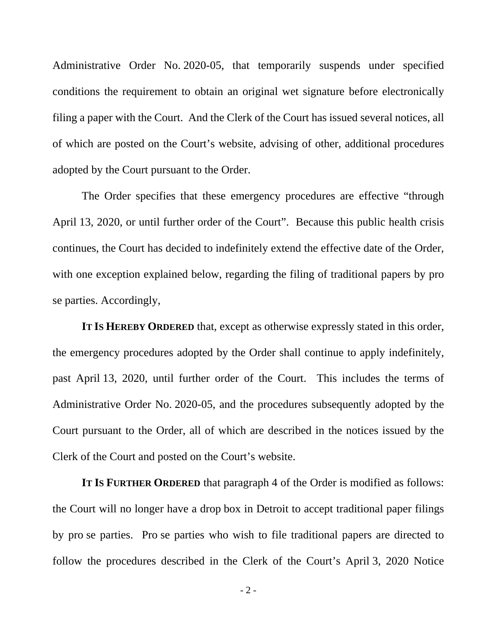Administrative Order No. 2020-05, that temporarily suspends under specified conditions the requirement to obtain an original wet signature before electronically filing a paper with the Court. And the Clerk of the Court has issued several notices, all of which are posted on the Court's website, advising of other, additional procedures adopted by the Court pursuant to the Order.

 The Order specifies that these emergency procedures are effective "through April 13, 2020, or until further order of the Court". Because this public health crisis continues, the Court has decided to indefinitely extend the effective date of the Order, with one exception explained below, regarding the filing of traditional papers by pro se parties. Accordingly,

**IT IS HEREBY ORDERED** that, except as otherwise expressly stated in this order, the emergency procedures adopted by the Order shall continue to apply indefinitely, past April 13, 2020, until further order of the Court. This includes the terms of Administrative Order No. 2020-05, and the procedures subsequently adopted by the Court pursuant to the Order, all of which are described in the notices issued by the Clerk of the Court and posted on the Court's website.

**IT IS FURTHER ORDERED** that paragraph 4 of the Order is modified as follows: the Court will no longer have a drop box in Detroit to accept traditional paper filings by pro se parties. Pro se parties who wish to file traditional papers are directed to follow the procedures described in the Clerk of the Court's April 3, 2020 Notice